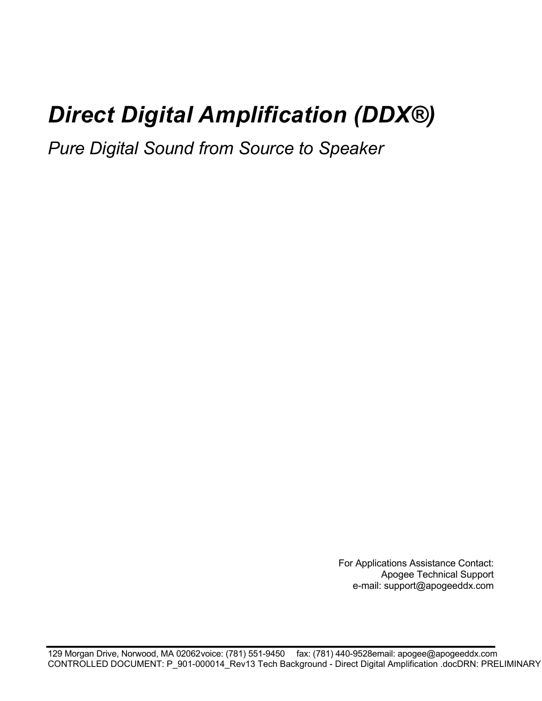# *Direct Digital Amplification (DDX®)*

*Pure Digital Sound from Source to Speaker* 

For Applications Assistance Contact: Apogee Technical Support e-mail: support@apogeeddx.com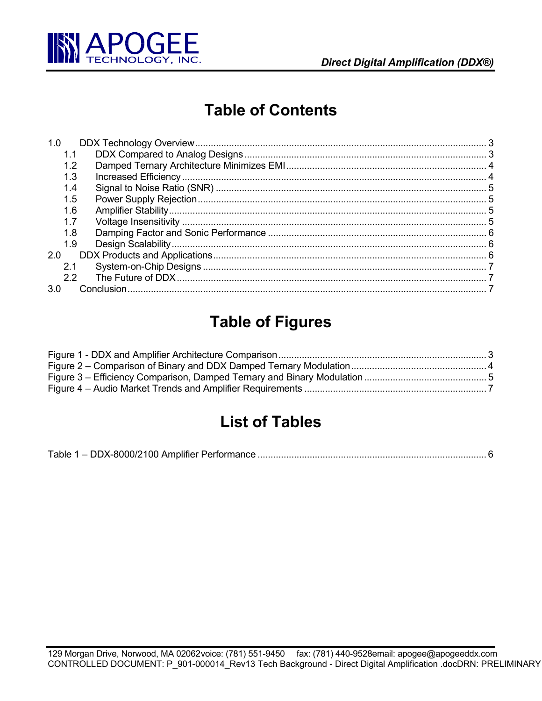

# **Table of Contents**

| 1.0 |  |
|-----|--|
| 1.1 |  |
| 1.2 |  |
| 1.3 |  |
| 1.4 |  |
| 1.5 |  |
| 1.6 |  |
| 1.7 |  |
| 1.8 |  |
| 1.9 |  |
| 2.0 |  |
| 2.1 |  |
| 2.2 |  |
| 3.0 |  |

# **Table of Figures**

# **List of Tables**

|--|--|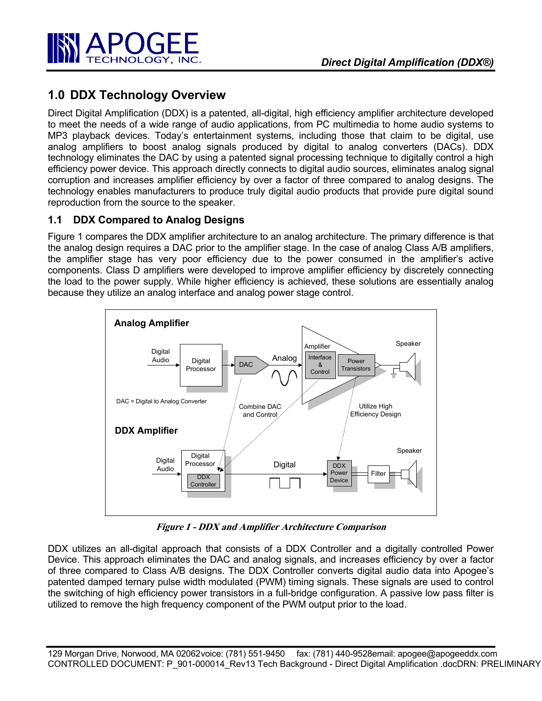

## **1.0 DDX Technology Overview**

Direct Digital Amplification (DDX) is a patented, all-digital, high efficiency amplifier architecture developed to meet the needs of a wide range of audio applications, from PC multimedia to home audio systems to MP3 playback devices. Today's entertainment systems, including those that claim to be digital, use analog amplifiers to boost analog signals produced by digital to analog converters (DACs). DDX technology eliminates the DAC by using a patented signal processing technique to digitally control a high efficiency power device. This approach directly connects to digital audio sources, eliminates analog signal corruption and increases amplifier efficiency by over a factor of three compared to analog designs. The technology enables manufacturers to produce truly digital audio products that provide pure digital sound reproduction from the source to the speaker.

#### **1.1 DDX Compared to Analog Designs**

Figure 1 compares the DDX amplifier architecture to an analog architecture. The primary difference is that the analog design requires a DAC prior to the amplifier stage. In the case of analog Class A/B amplifiers, the amplifier stage has very poor efficiency due to the power consumed in the amplifier's active components. Class D amplifiers were developed to improve amplifier efficiency by discretely connecting the load to the power supply. While higher efficiency is achieved, these solutions are essentially analog because they utilize an analog interface and analog power stage control.



**Figure 1 - DDX and Amplifier Architecture Comparison** 

DDX utilizes an all-digital approach that consists of a DDX Controller and a digitally controlled Power Device. This approach eliminates the DAC and analog signals, and increases efficiency by over a factor of three compared to Class A/B designs. The DDX Controller converts digital audio data into Apogee's patented damped ternary pulse width modulated (PWM) timing signals. These signals are used to control the switching of high efficiency power transistors in a full-bridge configuration. A passive low pass filter is utilized to remove the high frequency component of the PWM output prior to the load.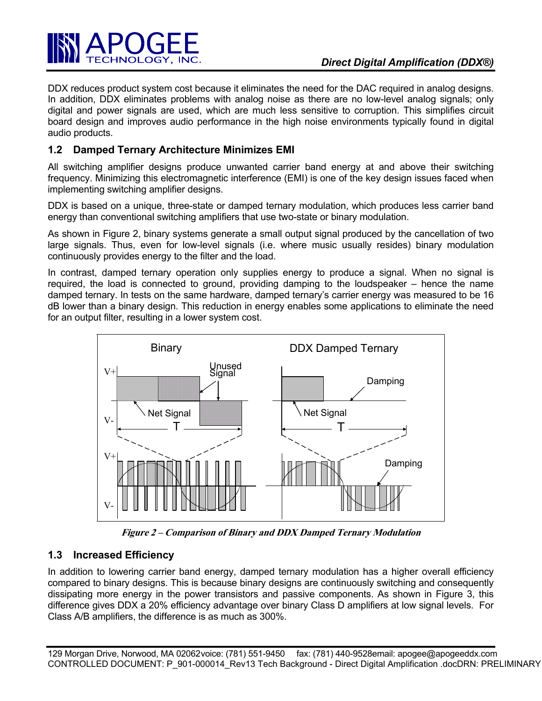

DDX reduces product system cost because it eliminates the need for the DAC required in analog designs. In addition, DDX eliminates problems with analog noise as there are no low-level analog signals; only digital and power signals are used, which are much less sensitive to corruption. This simplifies circuit board design and improves audio performance in the high noise environments typically found in digital audio products.

#### **1.2 Damped Ternary Architecture Minimizes EMI**

All switching amplifier designs produce unwanted carrier band energy at and above their switching frequency. Minimizing this electromagnetic interference (EMI) is one of the key design issues faced when implementing switching amplifier designs.

DDX is based on a unique, three-state or damped ternary modulation, which produces less carrier band energy than conventional switching amplifiers that use two-state or binary modulation.

As shown in Figure 2, binary systems generate a small output signal produced by the cancellation of two large signals. Thus, even for low-level signals (i.e. where music usually resides) binary modulation continuously provides energy to the filter and the load.

In contrast, damped ternary operation only supplies energy to produce a signal. When no signal is required, the load is connected to ground, providing damping to the loudspeaker – hence the name damped ternary. In tests on the same hardware, damped ternary's carrier energy was measured to be 16 dB lower than a binary design. This reduction in energy enables some applications to eliminate the need for an output filter, resulting in a lower system cost.



**Figure 2 – Comparison of Binary and DDX Damped Ternary Modulation** 

#### **1.3 Increased Efficiency**

In addition to lowering carrier band energy, damped ternary modulation has a higher overall efficiency compared to binary designs. This is because binary designs are continuously switching and consequently dissipating more energy in the power transistors and passive components. As shown in Figure 3, this difference gives DDX a 20% efficiency advantage over binary Class D amplifiers at low signal levels. For Class A/B amplifiers, the difference is as much as 300%.

129 Morgan Drive, Norwood, MA 02062 voice: (781) 551-9450 fax: (781) 440-9528email: apogee@apogeeddx.com CONTROLLED DOCUMENT: P\_901-000014\_Rev13 Tech Background - Direct Digital Amplification .docDRN: PRELIMINARY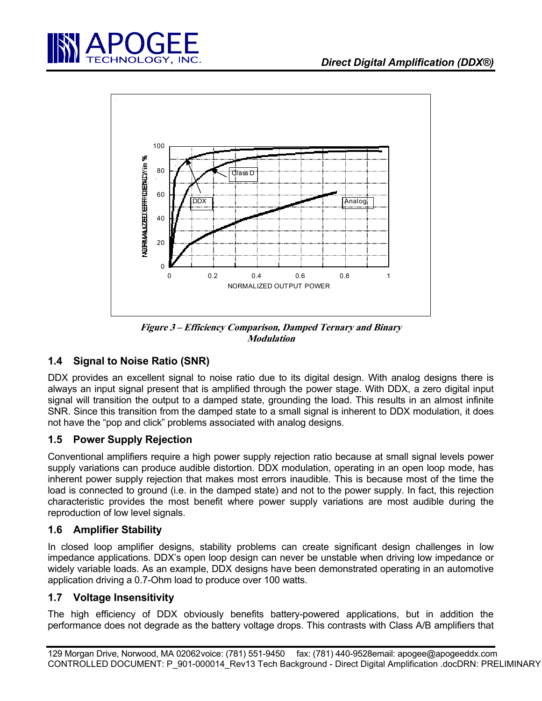



**Figure 3 – Efficiency Comparison, Damped Ternary and Binary Modulation** 

## **1.4 Signal to Noise Ratio (SNR)**

DDX provides an excellent signal to noise ratio due to its digital design. With analog designs there is always an input signal present that is amplified through the power stage. With DDX, a zero digital input signal will transition the output to a damped state, grounding the load. This results in an almost infinite SNR. Since this transition from the damped state to a small signal is inherent to DDX modulation, it does not have the "pop and click" problems associated with analog designs.

#### **1.5 Power Supply Rejection**

Conventional amplifiers require a high power supply rejection ratio because at small signal levels power supply variations can produce audible distortion. DDX modulation, operating in an open loop mode, has inherent power supply rejection that makes most errors inaudible. This is because most of the time the load is connected to ground (i.e. in the damped state) and not to the power supply. In fact, this rejection characteristic provides the most benefit where power supply variations are most audible during the reproduction of low level signals.

#### **1.6 Amplifier Stability**

In closed loop amplifier designs, stability problems can create significant design challenges in low impedance applications. DDX's open loop design can never be unstable when driving low impedance or widely variable loads. As an example, DDX designs have been demonstrated operating in an automotive application driving a 0.7-Ohm load to produce over 100 watts.

#### **1.7 Voltage Insensitivity**

The high efficiency of DDX obviously benefits battery-powered applications, but in addition the performance does not degrade as the battery voltage drops. This contrasts with Class A/B amplifiers that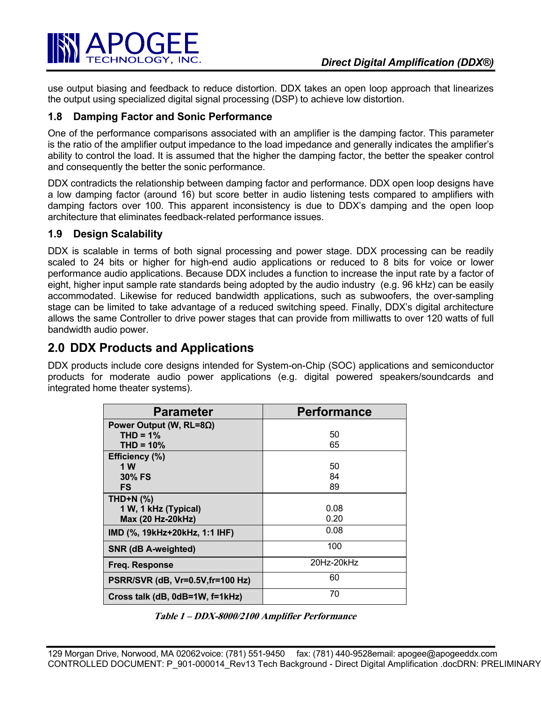

use output biasing and feedback to reduce distortion. DDX takes an open loop approach that linearizes the output using specialized digital signal processing (DSP) to achieve low distortion.

#### **1.8 Damping Factor and Sonic Performance**

One of the performance comparisons associated with an amplifier is the damping factor. This parameter is the ratio of the amplifier output impedance to the load impedance and generally indicates the amplifier's ability to control the load. It is assumed that the higher the damping factor, the better the speaker control and consequently the better the sonic performance.

DDX contradicts the relationship between damping factor and performance. DDX open loop designs have a low damping factor (around 16) but score better in audio listening tests compared to amplifiers with damping factors over 100. This apparent inconsistency is due to DDX's damping and the open loop architecture that eliminates feedback-related performance issues.

#### **1.9 Design Scalability**

DDX is scalable in terms of both signal processing and power stage. DDX processing can be readily scaled to 24 bits or higher for high-end audio applications or reduced to 8 bits for voice or lower performance audio applications. Because DDX includes a function to increase the input rate by a factor of eight, higher input sample rate standards being adopted by the audio industry (e.g. 96 kHz) can be easily accommodated. Likewise for reduced bandwidth applications, such as subwoofers, the over-sampling stage can be limited to take advantage of a reduced switching speed. Finally, DDX's digital architecture allows the same Controller to drive power stages that can provide from milliwatts to over 120 watts of full bandwidth audio power.

### **2.0 DDX Products and Applications**

DDX products include core designs intended for System-on-Chip (SOC) applications and semiconductor products for moderate audio power applications (e.g. digital powered speakers/soundcards and integrated home theater systems).

| <b>Parameter</b>                  | <b>Performance</b> |
|-----------------------------------|--------------------|
| Power Output (W, RL=8 $\Omega$ )  |                    |
| $THD = 1%$                        | 50                 |
| $THD = 10\%$                      | 65                 |
| Efficiency (%)                    |                    |
| 1 W                               | 50                 |
| 30% FS                            | 84                 |
| FS.                               | 89                 |
| THD+N $(%)$                       |                    |
| 1 W, 1 kHz (Typical)              | 0.08               |
| Max (20 Hz-20kHz)                 | 0.20               |
| IMD (%, 19kHz+20kHz, 1:1 IHF)     | 0.08               |
| SNR (dB A-weighted)               | 100                |
| Freq. Response                    | 20Hz-20kHz         |
| PSRR/SVR (dB, Vr=0.5V, fr=100 Hz) | 60                 |
| Cross talk (dB, 0dB=1W, f=1kHz)   | 70                 |

| Table 1 - DDX-8000/2100 Amplifier Performance |  |
|-----------------------------------------------|--|
|-----------------------------------------------|--|